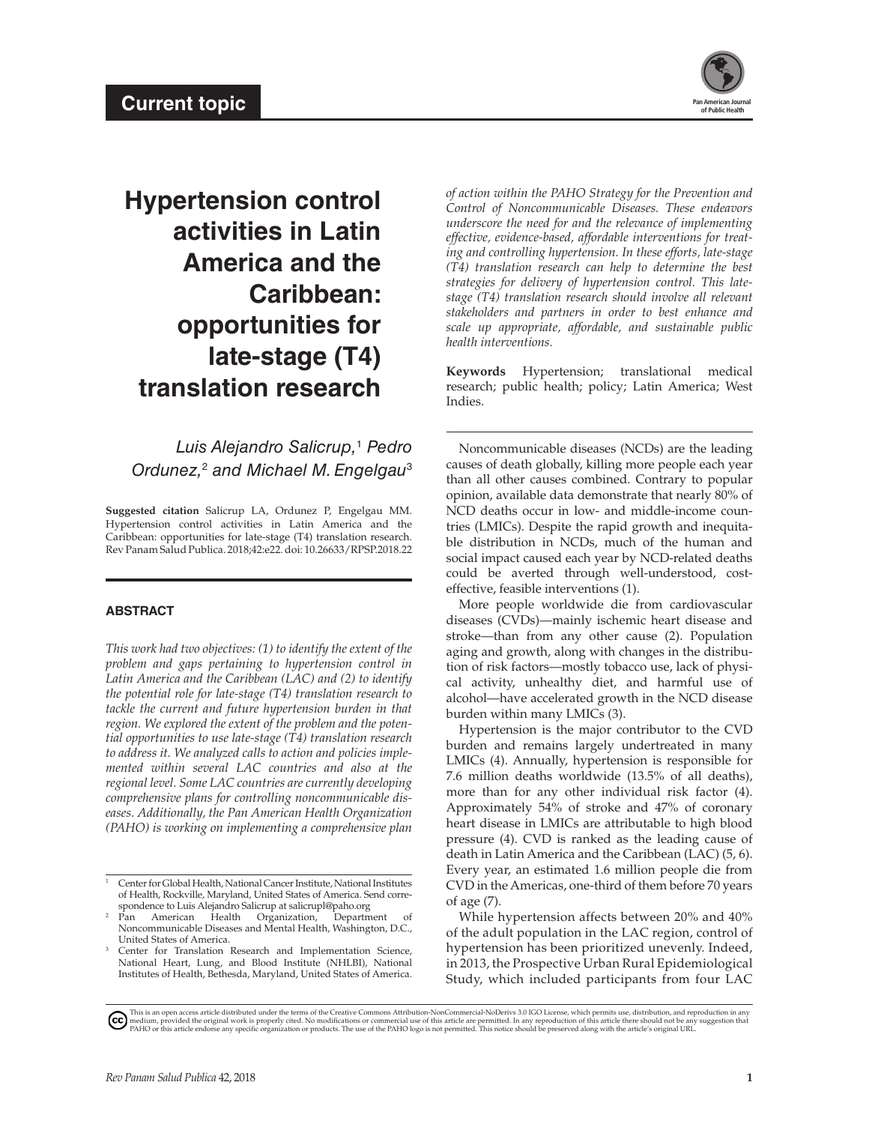

# **Hypertension control activities in Latin America and the Caribbean: opportunities for late-stage (T4) translation research**

*Luis Alejandro Salicrup,*<sup>1</sup>  *Pedro Ordunez,*<sup>2</sup>  *and Michael M. Engelgau*<sup>3</sup>

**Suggested citation** Salicrup LA, Ordunez P, Engelgau MM. Hypertension control activities in Latin America and the Caribbean: opportunities for late-stage (T4) translation research. Rev Panam Salud Publica. 2018;42:e22. doi: 10.26633/RPSP.2018.22

### **ABSTRACT**

*This work had two objectives: (1) to identify the extent of the problem and gaps pertaining to hypertension control in Latin America and the Caribbean (LAC) and (2) to identify the potential role for late-stage (T4) translation research to tackle the current and future hypertension burden in that region. We explored the extent of the problem and the potential opportunities to use late-stage (T4) translation research to address it. We analyzed calls to action and policies implemented within several LAC countries and also at the regional level. Some LAC countries are currently developing comprehensive plans for controlling noncommunicable diseases. Additionally, the Pan American Health Organization (PAHO) is working on implementing a comprehensive plan*  *of action within the PAHO Strategy for the Prevention and Control of Noncommunicable Diseases. These endeavors underscore the need for and the relevance of implementing effective, evidence-based, affordable interventions for treating and controlling hypertension. In these efforts, late-stage (T4) translation research can help to determine the best strategies for delivery of hypertension control. This latestage (T4) translation research should involve all relevant stakeholders and partners in order to best enhance and scale up appropriate, affordable, and sustainable public health interventions.*

**Keywords** Hypertension; translational medical research; public health; policy; Latin America; West Indies.

Noncommunicable diseases (NCDs) are the leading causes of death globally, killing more people each year than all other causes combined. Contrary to popular opinion, available data demonstrate that nearly 80% of NCD deaths occur in low- and middle-income countries (LMICs). Despite the rapid growth and inequitable distribution in NCDs, much of the human and social impact caused each year by NCD-related deaths could be averted through well-understood, costeffective, feasible interventions (1).

More people worldwide die from cardiovascular diseases (CVDs)—mainly ischemic heart disease and stroke—than from any other cause (2). Population aging and growth, along with changes in the distribution of risk factors—mostly tobacco use, lack of physical activity, unhealthy diet, and harmful use of alcohol—have accelerated growth in the NCD disease burden within many LMICs (3).

Hypertension is the major contributor to the CVD burden and remains largely undertreated in many LMICs (4). Annually, hypertension is responsible for 7.6 million deaths worldwide (13.5% of all deaths), more than for any other individual risk factor (4). Approximately 54% of stroke and 47% of coronary heart disease in LMICs are attributable to high blood pressure (4). CVD is ranked as the leading cause of death in Latin America and the Caribbean (LAC) (5, 6). Every year, an estimated 1.6 million people die from CVD in the Americas, one-third of them before 70 years of age (7).

While hypertension affects between 20% and 40% of the adult population in the LAC region, control of hypertension has been prioritized unevenly. Indeed, in 2013, the Prospective Urban Rural Epidemiological Study, which included participants from four LAC

<sup>&</sup>lt;sup>1</sup> Center for Global Health, National Cancer Institute, National Institutes of Health, Rockville, Maryland, United States of America. Send correspondence to Luis Alejandro Salicrup at salicrupl@paho.org

<sup>&</sup>lt;sup>2</sup> Pan American Health Organization, Department Noncommunicable Diseases and Mental Health, Washington, D.C., United States of America.

<sup>&</sup>lt;sup>3</sup> Center for Translation Research and Implementation Science, National Heart, Lung, and Blood Institute (NHLBI), National Institutes of Health, Bethesda, Maryland, United States of America.

[T](https://creativecommons.org/licenses/by-nc-nd/3.0/igo/legalcode)his is an open access article distributed under the terms of the [Creative Commons Attribution-NonCommercial-NoDerivs 3.0 IGO License,](https://creativecommons.org/licenses/by-nc-nd/3.0/igo/legalcode) which permits use, distribution, and reproduction in any reproduction in any reproducti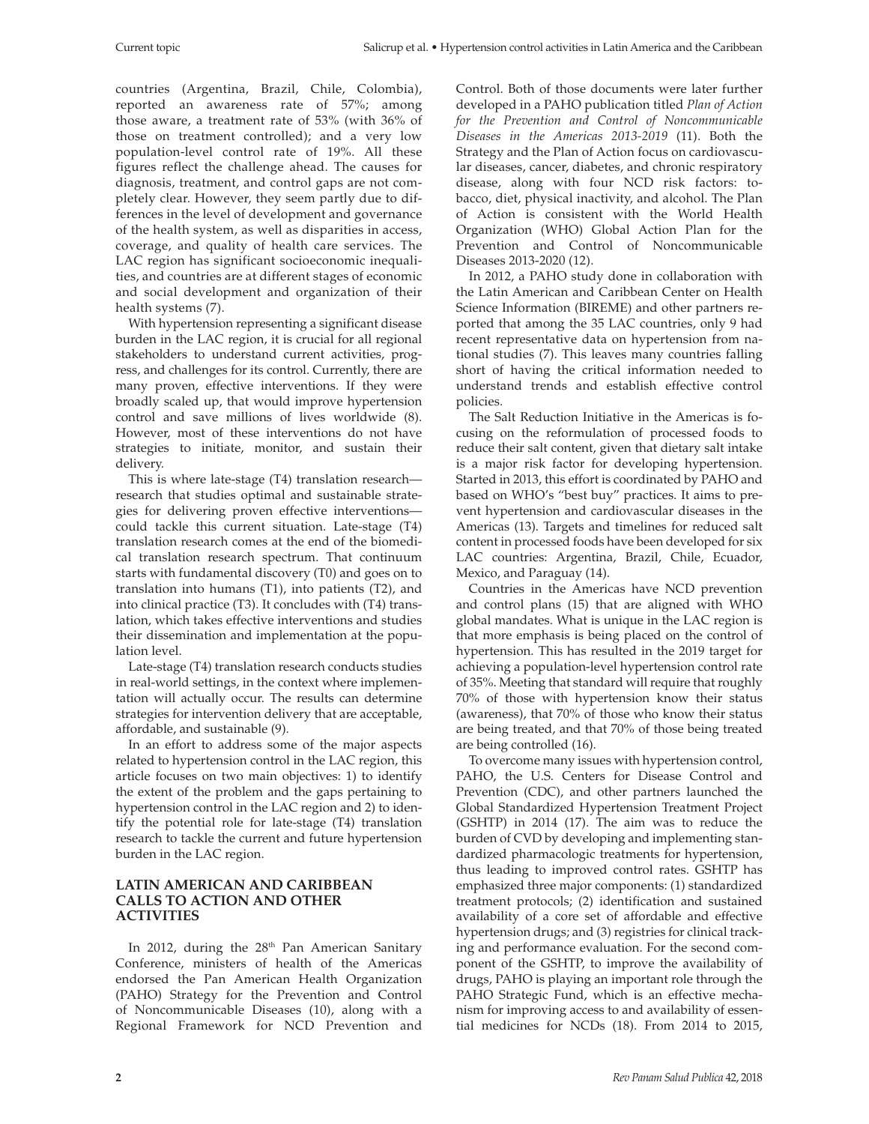countries (Argentina, Brazil, Chile, Colombia), reported an awareness rate of 57%; among those aware, a treatment rate of 53% (with 36% of those on treatment controlled); and a very low population-level control rate of 19%. All these figures reflect the challenge ahead. The causes for diagnosis, treatment, and control gaps are not completely clear. However, they seem partly due to differences in the level of development and governance of the health system, as well as disparities in access, coverage, and quality of health care services. The LAC region has significant socioeconomic inequalities, and countries are at different stages of economic and social development and organization of their health systems (7).

With hypertension representing a significant disease burden in the LAC region, it is crucial for all regional stakeholders to understand current activities, progress, and challenges for its control. Currently, there are many proven, effective interventions. If they were broadly scaled up, that would improve hypertension control and save millions of lives worldwide (8). However, most of these interventions do not have strategies to initiate, monitor, and sustain their delivery.

This is where late-stage (T4) translation research research that studies optimal and sustainable strategies for delivering proven effective interventions could tackle this current situation. Late-stage (T4) translation research comes at the end of the biomedical translation research spectrum. That continuum starts with fundamental discovery (T0) and goes on to translation into humans (T1), into patients (T2), and into clinical practice (T3). It concludes with (T4) translation, which takes effective interventions and studies their dissemination and implementation at the population level.

Late-stage (T4) translation research conducts studies in real-world settings, in the context where implementation will actually occur. The results can determine strategies for intervention delivery that are acceptable, affordable, and sustainable (9).

In an effort to address some of the major aspects related to hypertension control in the LAC region, this article focuses on two main objectives: 1) to identify the extent of the problem and the gaps pertaining to hypertension control in the LAC region and 2) to identify the potential role for late-stage (T4) translation research to tackle the current and future hypertension burden in the LAC region.

## **LATIN AMERICAN AND CARIBBEAN CALLS TO ACTION AND OTHER ACTIVITIES**

In 2012, during the 28<sup>th</sup> Pan American Sanitary Conference, ministers of health of the Americas endorsed the Pan American Health Organization (PAHO) Strategy for the Prevention and Control of Noncommunicable Diseases (10), along with a Regional Framework for NCD Prevention and

Control. Both of those documents were later further developed in a PAHO publication titled *Plan of Action for the Prevention and Control of Noncommunicable Diseases in the Americas 2013-2019* (11). Both the Strategy and the Plan of Action focus on cardiovascular diseases, cancer, diabetes, and chronic respiratory disease, along with four NCD risk factors: tobacco, diet, physical inactivity, and alcohol. The Plan of Action is consistent with the World Health Organization (WHO) Global Action Plan for the Prevention and Control of Noncommunicable Diseases 2013-2020 (12).

In 2012, a PAHO study done in collaboration with the Latin American and Caribbean Center on Health Science Information (BIREME) and other partners reported that among the 35 LAC countries, only 9 had recent representative data on hypertension from national studies (7). This leaves many countries falling short of having the critical information needed to understand trends and establish effective control policies.

The Salt Reduction Initiative in the Americas is focusing on the reformulation of processed foods to reduce their salt content, given that dietary salt intake is a major risk factor for developing hypertension. Started in 2013, this effort is coordinated by PAHO and based on WHO's "best buy" practices. It aims to prevent hypertension and cardiovascular diseases in the Americas (13). Targets and timelines for reduced salt content in processed foods have been developed for six LAC countries: Argentina, Brazil, Chile, Ecuador, Mexico, and Paraguay (14).

Countries in the Americas have NCD prevention and control plans (15) that are aligned with WHO global mandates. What is unique in the LAC region is that more emphasis is being placed on the control of hypertension. This has resulted in the 2019 target for achieving a population-level hypertension control rate of 35%. Meeting that standard will require that roughly 70% of those with hypertension know their status (awareness), that 70% of those who know their status are being treated, and that 70% of those being treated are being controlled (16).

To overcome many issues with hypertension control, PAHO, the U.S. Centers for Disease Control and Prevention (CDC), and other partners launched the Global Standardized Hypertension Treatment Project (GSHTP) in 2014 (17). The aim was to reduce the burden of CVD by developing and implementing standardized pharmacologic treatments for hypertension, thus leading to improved control rates. GSHTP has emphasized three major components: (1) standardized treatment protocols; (2) identification and sustained availability of a core set of affordable and effective hypertension drugs; and (3) registries for clinical tracking and performance evaluation. For the second component of the GSHTP, to improve the availability of drugs, PAHO is playing an important role through the PAHO Strategic Fund, which is an effective mechanism for improving access to and availability of essential medicines for NCDs (18). From 2014 to 2015,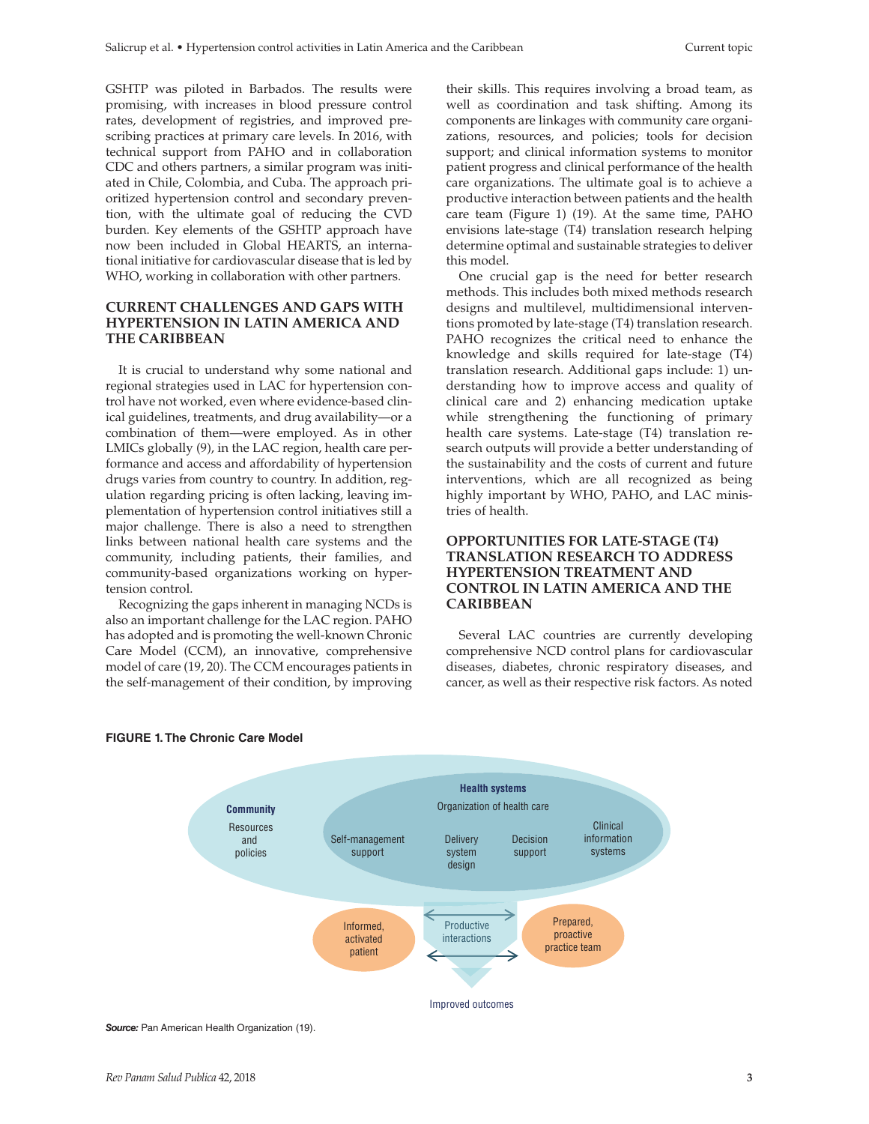GSHTP was piloted in Barbados. The results were promising, with increases in blood pressure control rates, development of registries, and improved prescribing practices at primary care levels. In 2016, with technical support from PAHO and in collaboration CDC and others partners, a similar program was initiated in Chile, Colombia, and Cuba. The approach prioritized hypertension control and secondary prevention, with the ultimate goal of reducing the CVD burden. Key elements of the GSHTP approach have now been included in Global HEARTS, an international initiative for cardiovascular disease that is led by WHO, working in collaboration with other partners.

### **CURRENT CHALLENGES AND GAPS WITH HYPERTENSION IN LATIN AMERICA AND THE CARIBBEAN**

It is crucial to understand why some national and regional strategies used in LAC for hypertension control have not worked, even where evidence-based clinical guidelines, treatments, and drug availability—or a combination of them—were employed. As in other LMICs globally (9), in the LAC region, health care performance and access and affordability of hypertension drugs varies from country to country. In addition, regulation regarding pricing is often lacking, leaving implementation of hypertension control initiatives still a major challenge. There is also a need to strengthen links between national health care systems and the community, including patients, their families, and community-based organizations working on hypertension control.

Recognizing the gaps inherent in managing NCDs is also an important challenge for the LAC region. PAHO has adopted and is promoting the well-known Chronic Care Model (CCM), an innovative, comprehensive model of care (19, 20). The CCM encourages patients in the self-management of their condition, by improving

their skills. This requires involving a broad team, as well as coordination and task shifting. Among its components are linkages with community care organizations, resources, and policies; tools for decision support; and clinical information systems to monitor patient progress and clinical performance of the health care organizations. The ultimate goal is to achieve a productive interaction between patients and the health care team (Figure 1) (19). At the same time, PAHO envisions late-stage (T4) translation research helping determine optimal and sustainable strategies to deliver this model.

One crucial gap is the need for better research methods. This includes both mixed methods research designs and multilevel, multidimensional interventions promoted by late-stage (T4) translation research. PAHO recognizes the critical need to enhance the knowledge and skills required for late-stage (T4) translation research. Additional gaps include: 1) understanding how to improve access and quality of clinical care and 2) enhancing medication uptake while strengthening the functioning of primary health care systems. Late-stage (T4) translation research outputs will provide a better understanding of the sustainability and the costs of current and future interventions, which are all recognized as being highly important by WHO, PAHO, and LAC ministries of health.

### **OPPORTUNITIES FOR LATE-STAGE (T4) TRANSLATION RESEARCH TO ADDRESS HYPERTENSION TREATMENT AND CONTROL IN LATIN AMERICA AND THE CARIBBEAN**

Several LAC countries are currently developing comprehensive NCD control plans for cardiovascular diseases, diabetes, chronic respiratory diseases, and cancer, as well as their respective risk factors. As noted





**Source:** Pan American Health Organization (19).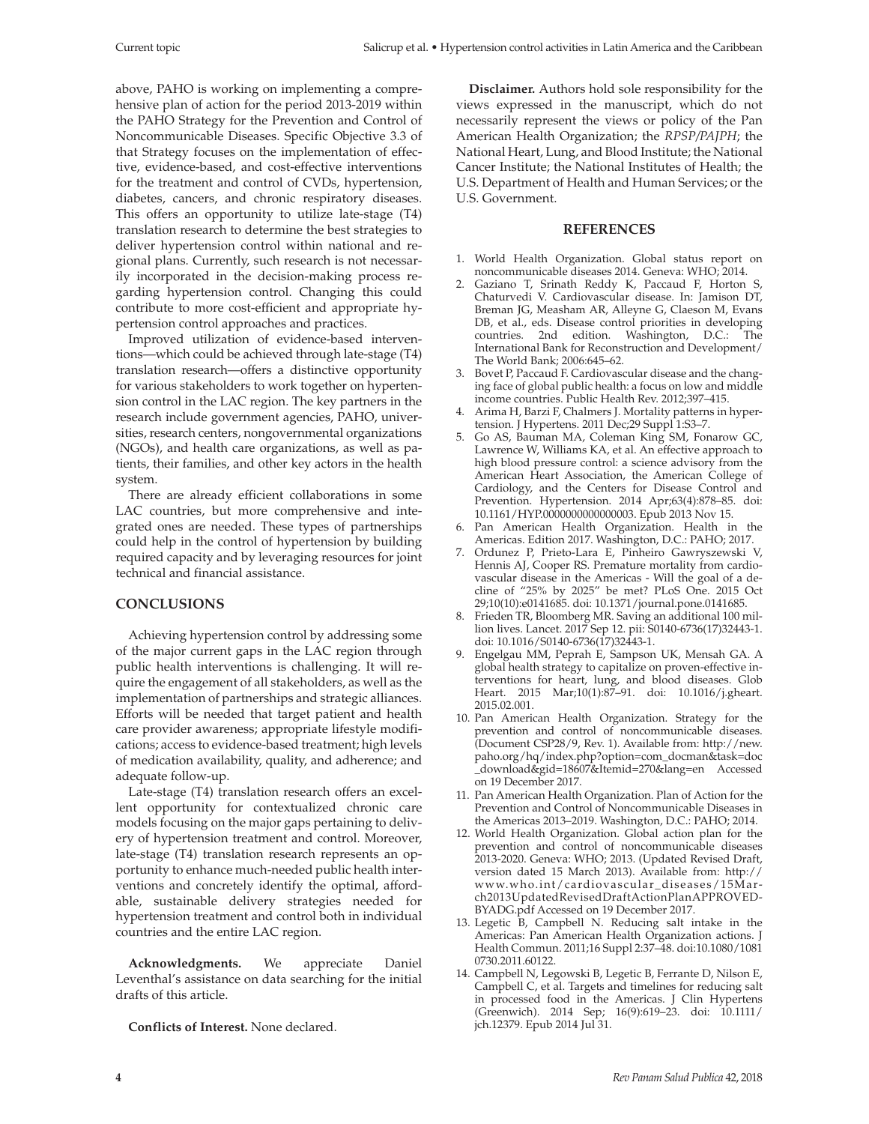above, PAHO is working on implementing a comprehensive plan of action for the period 2013-2019 within the PAHO Strategy for the Prevention and Control of Noncommunicable Diseases. Specific Objective 3.3 of that Strategy focuses on the implementation of effective, evidence-based, and cost-effective interventions for the treatment and control of CVDs, hypertension, diabetes, cancers, and chronic respiratory diseases. This offers an opportunity to utilize late-stage (T4) translation research to determine the best strategies to deliver hypertension control within national and regional plans. Currently, such research is not necessarily incorporated in the decision-making process regarding hypertension control. Changing this could contribute to more cost-efficient and appropriate hypertension control approaches and practices.

Improved utilization of evidence-based interventions—which could be achieved through late-stage (T4) translation research—offers a distinctive opportunity for various stakeholders to work together on hypertension control in the LAC region. The key partners in the research include government agencies, PAHO, universities, research centers, nongovernmental organizations (NGOs), and health care organizations, as well as patients, their families, and other key actors in the health system.

There are already efficient collaborations in some LAC countries, but more comprehensive and integrated ones are needed. These types of partnerships could help in the control of hypertension by building required capacity and by leveraging resources for joint technical and financial assistance.

## **CONCLUSIONS**

Achieving hypertension control by addressing some of the major current gaps in the LAC region through public health interventions is challenging. It will require the engagement of all stakeholders, as well as the implementation of partnerships and strategic alliances. Efforts will be needed that target patient and health care provider awareness; appropriate lifestyle modifications; access to evidence-based treatment; high levels of medication availability, quality, and adherence; and adequate follow-up.

Late-stage (T4) translation research offers an excellent opportunity for contextualized chronic care models focusing on the major gaps pertaining to delivery of hypertension treatment and control. Moreover, late-stage (T4) translation research represents an opportunity to enhance much-needed public health interventions and concretely identify the optimal, affordable, sustainable delivery strategies needed for hypertension treatment and control both in individual countries and the entire LAC region.

**Acknowledgments.** We appreciate Daniel Leventhal's assistance on data searching for the initial drafts of this article.

**Conflicts of Interest.** None declared.

**Disclaimer.** Authors hold sole responsibility for the views expressed in the manuscript, which do not necessarily represent the views or policy of the Pan American Health Organization; the *RPSP/PAJPH*; the National Heart, Lung, and Blood Institute; the National Cancer Institute; the National Institutes of Health; the U.S. Department of Health and Human Services; or the U.S. Government.

### **REFERENCES**

- 1. World Health Organization. Global status report on noncommunicable diseases 2014. Geneva: WHO; 2014.
- 2. Gaziano T, Srinath Reddy K, Paccaud F, Horton S, Chaturvedi V. Cardiovascular disease. In: Jamison DT, Breman JG, Measham AR, Alleyne G, Claeson M, Evans DB, et al., eds. Disease control priorities in developing countries. 2nd edition. Washington, D.C.: The International Bank for Reconstruction and Development/ The World Bank; 2006:645–62.
- 3. Bovet P, Paccaud F. Cardiovascular disease and the changing face of global public health: a focus on low and middle income countries. Public Health Rev. 2012;397–415.
- 4. Arima H, Barzi F, Chalmers J. Mortality patterns in hypertension. J Hypertens. 2011 Dec; 29 Suppl 1:S3-7.
- 5. Go AS, Bauman MA, Coleman King SM, Fonarow GC, Lawrence W, Williams KA, et al. An effective approach to high blood pressure control: a science advisory from the American Heart Association, the American College of Cardiology, and the Centers for Disease Control and Prevention. Hypertension. 2014 Apr;63(4):878–85. doi: 10.1161/HYP.0000000000000003. Epub 2013 Nov 15.
- 6. Pan American Health Organization. Health in the Americas. Edition 2017. Washington, D.C.: PAHO; 2017.
- 7. Ordunez P, Prieto-Lara E, Pinheiro Gawryszewski V, Hennis AJ, Cooper RS. Premature mortality from cardiovascular disease in the Americas - Will the goal of a decline of "25% by 2025" be met? PLoS One. 2015 Oct 29;10(10):e0141685. doi: 10.1371/journal.pone.0141685.
- 8. Frieden TR, Bloomberg MR. Saving an additional 100 million lives. Lancet. 2017 Sep 12. pii: S0140-6736(17)32443-1. doi: 10.1016/S0140-6736(17)32443-1.
- 9. Engelgau MM, Peprah E, Sampson UK, Mensah GA. A global health strategy to capitalize on proven-effective interventions for heart, lung, and blood diseases. Glob Heart. 2015 Mar;10(1):87–91. doi: 10.1016/j.gheart. 2015.02.001.
- 10. Pan American Health Organization. Strategy for the prevention and control of noncommunicable diseases. (Document CSP28/9, Rev. 1). Available from: [http://new.](http://new.paho.org/hq/index.php?) [paho.org/hq/index.php?](http://new.paho.org/hq/index.php?)option=com\_docman&task=doc \_download&gid=18607&Itemid=270&lang=en Accessed on 19 December 2017.
- 11. Pan American Health Organization. Plan of Action for the Prevention and Control of Noncommunicable Diseases in the Americas 2013–2019. Washington, D.C.: PAHO; 2014.
- 12. World Health Organization. Global action plan for the prevention and control of noncommunicable diseases 2013-2020. Geneva: WHO; 2013. (Updated Revised Draft, version dated 15 March 2013). Available from: [http://](http://www.who.int/cardiovascular_diseases/15March2013UpdatedRevisedDraftActionPlanAPPROVEDBYADG.pdf) [www.who.int/cardiovascular\\_diseases/15Mar](http://www.who.int/cardiovascular_diseases/15March2013UpdatedRevisedDraftActionPlanAPPROVEDBYADG.pdf)[ch2013UpdatedRevisedDraftActionPlanAPPROVED-](http://www.who.int/cardiovascular_diseases/15March2013UpdatedRevisedDraftActionPlanAPPROVEDBYADG.pdf)[BYADG.pdf](http://www.who.int/cardiovascular_diseases/15March2013UpdatedRevisedDraftActionPlanAPPROVEDBYADG.pdf) Accessed on 19 December 2017.
- 13. Legetic B, Campbell N. Reducing salt intake in the Americas: Pan American Health Organization actions. J Health Commun. 2011;16 Suppl 2:37–48. doi:10.1080/1081 0730.2011.60122.
- 14. Campbell N, Legowski B, Legetic B, Ferrante D, Nilson E, Campbell C, et al. Targets and timelines for reducing salt in processed food in the Americas. J Clin Hypertens (Greenwich). 2014 Sep; 16(9):619–23. doi: 10.1111/ jch.12379. Epub 2014 Jul 31.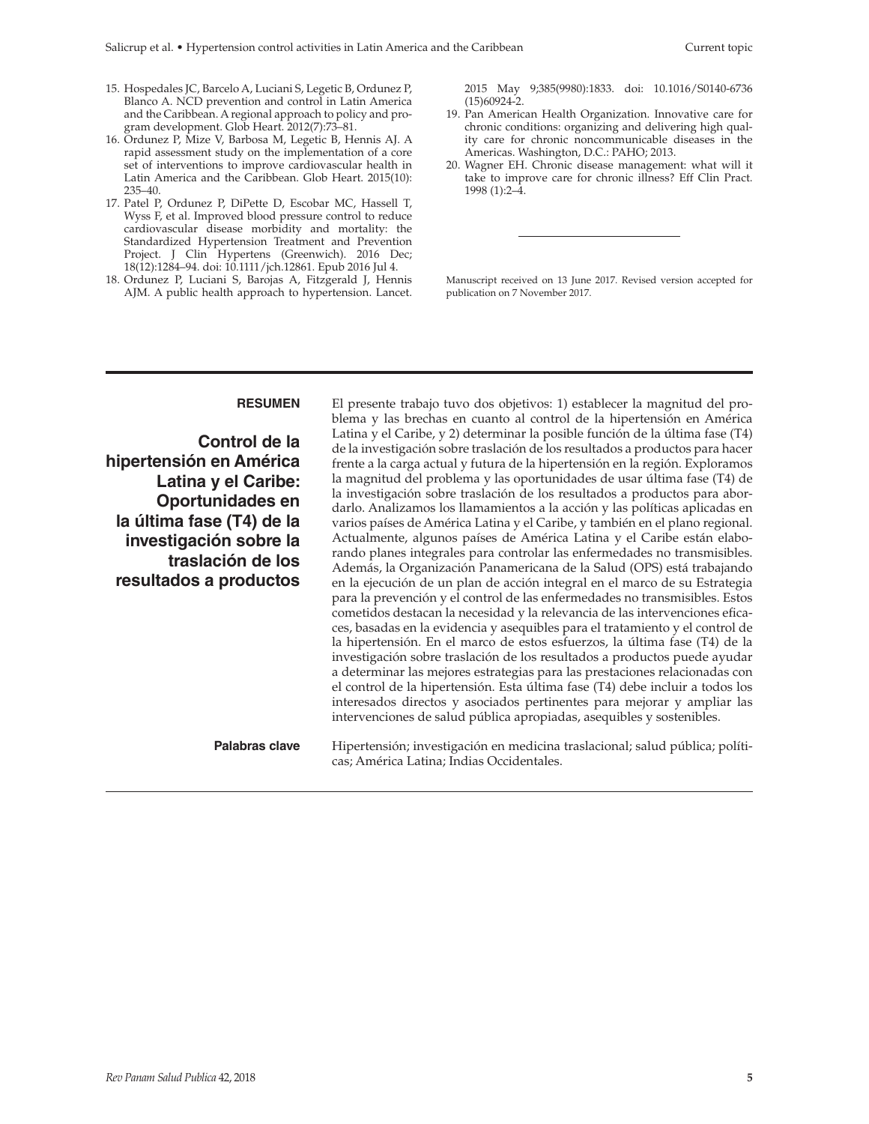- 15. Hospedales JC, Barcelo A, Luciani S, Legetic B, Ordunez P, Blanco A. NCD prevention and control in Latin America and the Caribbean. A regional approach to policy and program development. Glob Heart. 2012(7):73–81.
- 16. Ordunez P, Mize V, Barbosa M, Legetic B, Hennis AJ. A rapid assessment study on the implementation of a core set of interventions to improve cardiovascular health in Latin America and the Caribbean. Glob Heart. 2015(10): 235–40.
- 17. Patel P, Ordunez P, DiPette D, Escobar MC, Hassell T, Wyss F, et al. Improved blood pressure control to reduce cardiovascular disease morbidity and mortality: the Standardized Hypertension Treatment and Prevention Project. J Clin Hypertens (Greenwich). 2016 Dec; 18(12):1284–94. doi: 10.1111/jch.12861. Epub 2016 Jul 4.
- 18. Ordunez P, Luciani S, Barojas A, Fitzgerald J, Hennis AJM. A public health approach to hypertension. Lancet.

2015 May 9;385(9980):1833. doi: 10.1016/S0140-6736 (15)60924-2.

- 19. Pan American Health Organization. Innovative care for chronic conditions: organizing and delivering high quality care for chronic noncommunicable diseases in the Americas. Washington, D.C.: PAHO; 2013.
- 20. [Wagner EH.](https://www.ncbi.nlm.nih.gov/pubmed/?term=Wagner EH%5BAuthor%5D&cauthor=true&cauthor_uid=10345255) Chronic disease management: what will it take to improve care for chronic illness? [Eff Clin Pract.](https://www.ncbi.nlm.nih.gov/pubmed/10345255) 1998 (1):2–4.

Manuscript received on 13 June 2017. Revised version accepted for publication on 7 November 2017.

#### **RESUMEN**

**Control de la hipertensión en América Latina y el Caribe: Oportunidades en la última fase (T4) de la investigación sobre la traslación de los resultados a productos**

El presente trabajo tuvo dos objetivos: 1) establecer la magnitud del problema y las brechas en cuanto al control de la hipertensión en América Latina y el Caribe, y 2) determinar la posible función de la última fase (T4) de la investigación sobre traslación de los resultados a productos para hacer frente a la carga actual y futura de la hipertensión en la región. Exploramos la magnitud del problema y las oportunidades de usar última fase (T4) de la investigación sobre traslación de los resultados a productos para abordarlo. Analizamos los llamamientos a la acción y las políticas aplicadas en varios países de América Latina y el Caribe, y también en el plano regional. Actualmente, algunos países de América Latina y el Caribe están elaborando planes integrales para controlar las enfermedades no transmisibles. Además, la Organización Panamericana de la Salud (OPS) está trabajando en la ejecución de un plan de acción integral en el marco de su Estrategia para la prevención y el control de las enfermedades no transmisibles. Estos cometidos destacan la necesidad y la relevancia de las intervenciones eficaces, basadas en la evidencia y asequibles para el tratamiento y el control de la hipertensión. En el marco de estos esfuerzos, la última fase (T4) de la investigación sobre traslación de los resultados a productos puede ayudar a determinar las mejores estrategias para las prestaciones relacionadas con el control de la hipertensión. Esta última fase (T4) debe incluir a todos los interesados directos y asociados pertinentes para mejorar y ampliar las intervenciones de salud pública apropiadas, asequibles y sostenibles.

**Palabras clave** Hipertensión; investigación en medicina traslacional; salud pública; políticas; América Latina; Indias Occidentales.